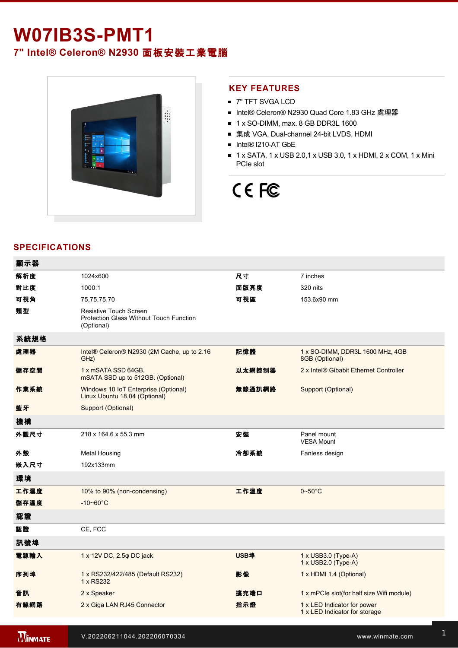# **W07IB3S-PMT1**

**7" Intel® Celeron® N2930** 面板安裝工業電腦



#### **KEY FEATURES**

- 7" TFT SVGA LCD
- Intel® Celeron® N2930 Quad Core 1.83 GHz 處理器
- $\blacksquare$  1 x SO-DIMM, max. 8 GB DDR3L 1600
- 集成 VGA, Dual-channel 24-bit LVDS, HDMI
- Intel® I210-AT GbE
- 1 x SATA, 1 x USB 2.0,1 x USB 3.0, 1 x HDMI, 2 x COM, 1 x Mini PCIe slot

# CE FC

### **SPECIFICATIONS**

| 顯示器  |                                                                                               |             |                                                              |
|------|-----------------------------------------------------------------------------------------------|-------------|--------------------------------------------------------------|
| 解析度  | 1024x600                                                                                      | 尺寸          | 7 inches                                                     |
| 對比度  | 1000:1                                                                                        | 面版亮度        | 320 nits                                                     |
| 可視角  | 75,75,75,70                                                                                   | 可視區         | 153.6x90 mm                                                  |
| 類型   | <b>Resistive Touch Screen</b><br><b>Protection Glass Without Touch Function</b><br>(Optional) |             |                                                              |
| 系統規格 |                                                                                               |             |                                                              |
| 處理器  | Intel® Celeron® N2930 (2M Cache, up to 2.16<br>GHz)                                           | 記憶體         | 1 x SO-DIMM, DDR3L 1600 MHz, 4GB<br>8GB (Optional)           |
| 儲存空間 | 1 x mSATA SSD 64GB.<br>mSATA SSD up to 512GB. (Optional)                                      | 以太網控制器      | 2 x Intel® Gibabit Ethernet Controller                       |
| 作業系統 | Windows 10 IoT Enterprise (Optional)<br>Linux Ubuntu 18.04 (Optional)                         | 無線通訊網路      | Support (Optional)                                           |
| 藍牙   | Support (Optional)                                                                            |             |                                                              |
| 機構   |                                                                                               |             |                                                              |
| 外觀尺寸 | 218 x 164.6 x 55.3 mm                                                                         | 安装          | Panel mount<br><b>VESA Mount</b>                             |
| 外殼   | <b>Metal Housing</b>                                                                          | 冷卻系統        | Fanless design                                               |
| 嵌入尺寸 | 192x133mm                                                                                     |             |                                                              |
| 環境   |                                                                                               |             |                                                              |
| 工作濕度 | 10% to 90% (non-condensing)                                                                   | 工作溫度        | $0\nthicksim50^{\circ}$ C                                    |
| 儲存溫度 | $-10 - 60^{\circ}C$                                                                           |             |                                                              |
| 認證   |                                                                                               |             |                                                              |
| 認證   | CE, FCC                                                                                       |             |                                                              |
| 訊號埠  |                                                                                               |             |                                                              |
| 電源輸入 | 1 x 12V DC, 2.5 $\varphi$ DC jack                                                             | <b>USB埠</b> | 1 x USB3.0 (Type-A)<br>1 x USB2.0 (Type-A)                   |
| 序列埠  | 1 x RS232/422/485 (Default RS232)<br>1 x RS232                                                | 影像          | 1 x HDMI 1.4 (Optional)                                      |
| 音訊   | 2 x Speaker                                                                                   | 擴充端口        | 1 x mPCle slot(for half size Wifi module)                    |
| 有線網路 | 2 x Giga LAN RJ45 Connector                                                                   | 指示燈         | 1 x LED Indicator for power<br>1 x LED Indicator for storage |
|      |                                                                                               |             |                                                              |

**WINMATE**